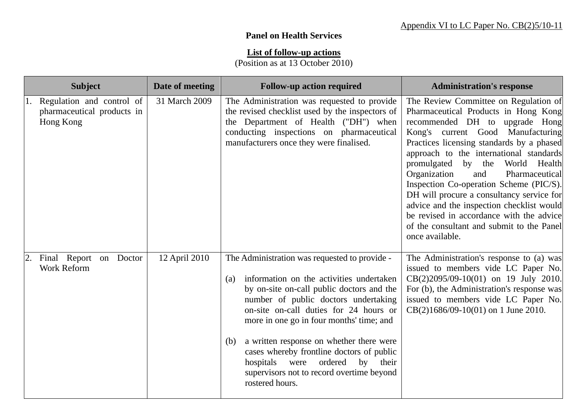## **Panel on Health Services**

## **List of follow-up actions**

(Position as at 13 October 2010)

| <b>Subject</b>                                                          | Date of meeting | <b>Follow-up action required</b>                                                                                                                                                                                                                                                                                                                                                                                                                                                        | <b>Administration's response</b>                                                                                                                                                                                                                                                                                                                                                                                                                                                                                                                                                   |
|-------------------------------------------------------------------------|-----------------|-----------------------------------------------------------------------------------------------------------------------------------------------------------------------------------------------------------------------------------------------------------------------------------------------------------------------------------------------------------------------------------------------------------------------------------------------------------------------------------------|------------------------------------------------------------------------------------------------------------------------------------------------------------------------------------------------------------------------------------------------------------------------------------------------------------------------------------------------------------------------------------------------------------------------------------------------------------------------------------------------------------------------------------------------------------------------------------|
| 1. Regulation and control of<br>pharmaceutical products in<br>Hong Kong | 31 March 2009   | The Administration was requested to provide<br>the revised checklist used by the inspectors of<br>the Department of Health ("DH") when<br>conducting inspections on pharmaceutical<br>manufacturers once they were finalised.                                                                                                                                                                                                                                                           | The Review Committee on Regulation of<br>Pharmaceutical Products in Hong Kong<br>recommended DH to upgrade Hong<br>Kong's current Good Manufacturing<br>Practices licensing standards by a phased<br>approach to the international standards<br>promulgated<br>by<br>the<br>World Health<br>Organization<br>Pharmaceutical<br>and<br>Inspection Co-operation Scheme (PIC/S).<br>DH will procure a consultancy service for<br>advice and the inspection checklist would<br>be revised in accordance with the advice<br>of the consultant and submit to the Panel<br>once available. |
| Final Report<br>Doctor<br>on<br>2.<br><b>Work Reform</b>                | 12 April 2010   | The Administration was requested to provide -<br>information on the activities undertaken<br>(a)<br>by on-site on-call public doctors and the<br>number of public doctors undertaking<br>on-site on-call duties for 24 hours or<br>more in one go in four months' time; and<br>a written response on whether there were<br>(b)<br>cases whereby frontline doctors of public<br>ordered<br>hospitals were<br>by<br>their<br>supervisors not to record overtime beyond<br>rostered hours. | The Administration's response to (a) was<br>issued to members vide LC Paper No.<br>CB(2)2095/09-10(01) on 19 July 2010.<br>For (b), the Administration's response was<br>issued to members vide LC Paper No.<br>$CB(2)1686/09-10(01)$ on 1 June 2010.                                                                                                                                                                                                                                                                                                                              |